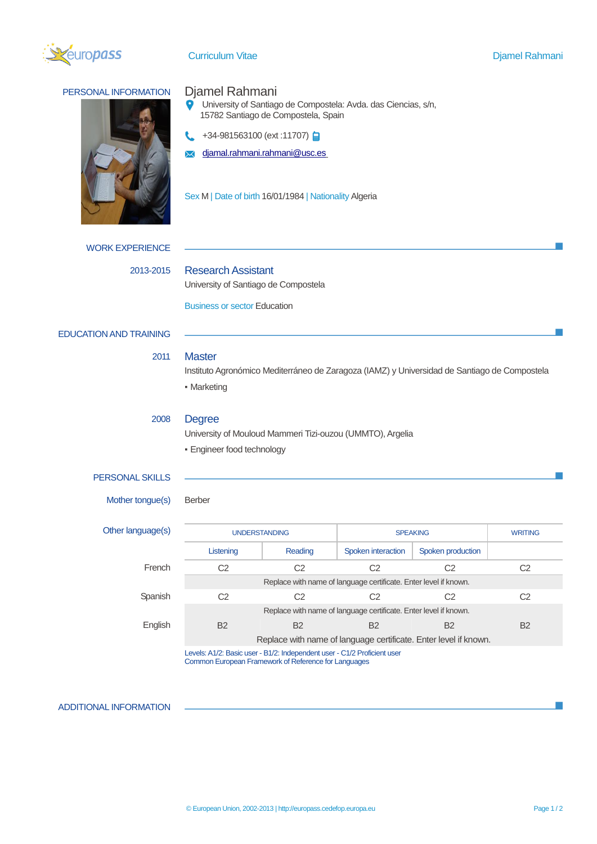

Curriculum Vitae Diamel Rahmani

# PERSONAL INFORMATION Djamel Rahmani  $\bullet$ University of Santiago de Compostela: Avda. das Ciencias, s/n, 15782 Santiago de Compostela, Spain +34-981563100 (ext:11707) **a** [djamal.rahmani.rahmani@usc.es](mailto:djamal.rahmani.rahmani@usc.es)  $\boldsymbol{\times}$ Sex M | Date of birth 16/01/1984 | Nationality Algeria WORK EXPERIENCE 2013-2015 Research Assistant University of Santiago de Compostela Business or sector Education EDUCATION AND TRAINING 2011 Master Instituto Agronómico Mediterráneo de Zaragoza (IAMZ) y Universidad de Santiago de Compostela ▪ Marketing 2008 Degree University of Mouloud Mammeri Tizi-ouzou (UMMTO), Argelia ▪ Engineer food technology PERSONAL SKILLS Mother tongue(s) Berber Other language(s) UNDERSTANDING SPEAKING SPEAKING WRITING Listening | Reading | Spoken interaction | Spoken production

|         | Listening                                                                | Reading | Spoken interaction | Spoken production |                |
|---------|--------------------------------------------------------------------------|---------|--------------------|-------------------|----------------|
| French  | C2                                                                       | C2      | C2                 | C2                | C2             |
|         | Replace with name of language certificate. Enter level if known.         |         |                    |                   |                |
| Spanish | C2                                                                       | C2      | C2                 | C2                | C2             |
|         | Replace with name of language certificate. Enter level if known.         |         |                    |                   |                |
| English | <b>B2</b>                                                                | B2      | B2                 | B2                | B <sub>2</sub> |
|         | Replace with name of language certificate. Enter level if known.         |         |                    |                   |                |
|         | Levels: A1/2: Basic user - B1/2: Independent user - C1/2 Proficient user |         |                    |                   |                |

Common European Framework of Reference for Languages

## ADDITIONAL INFORMATION